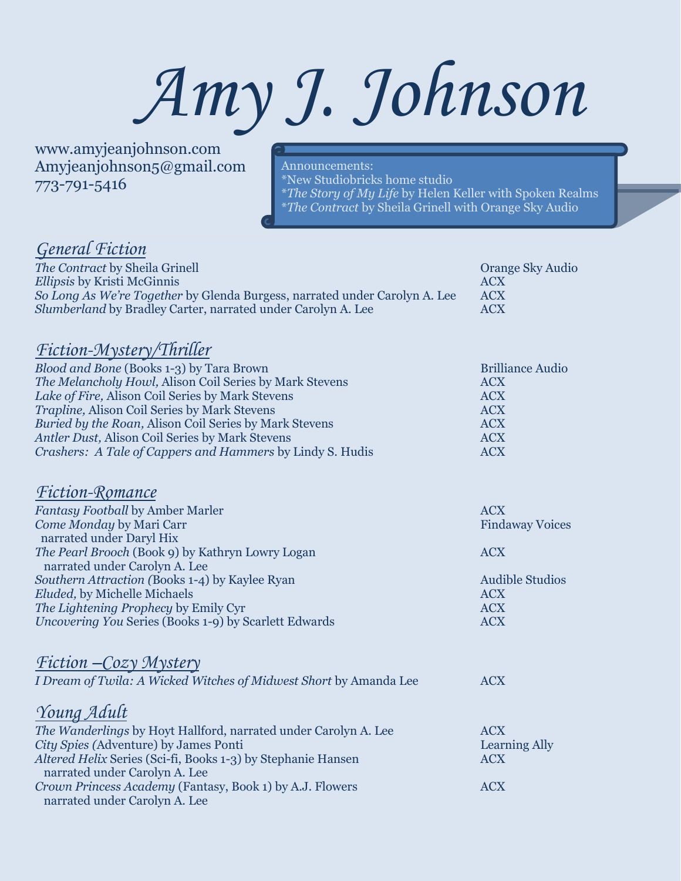# *Amy J. Johnson*

www.amyjeanjohnson.com Amyjeanjohnson5@gmail.com 773-791-5416

Announcements: \*New Studiobricks home studio \**The Story of My Life* by Helen Keller with Spoken Realms \**The Contract* by Sheila Grinell with Orange Sky Audio

### *General Fiction*

| The Contract by Sheila Grinell                                             | Orange Sky Audio |
|----------------------------------------------------------------------------|------------------|
| <i>Ellipsis</i> by Kristi McGinnis                                         | ACX              |
| So Long As We're Together by Glenda Burgess, narrated under Carolyn A. Lee | <b>ACX</b>       |
| <i>Slumberland</i> by Bradley Carter, narrated under Carolyn A. Lee        | <b>ACX</b>       |

#### *Fiction-Mystery/Thriller*

| <i>Blood and Bone</i> (Books 1-3) by Tara Brown           | <b>Brilliance Audio</b> |
|-----------------------------------------------------------|-------------------------|
| The Melancholy Howl, Alison Coil Series by Mark Stevens   | <b>ACX</b>              |
| Lake of Fire, Alison Coil Series by Mark Stevens          | <b>ACX</b>              |
| <i>Trapline, Alison Coil Series by Mark Stevens</i>       | <b>ACX</b>              |
| Buried by the Roan, Alison Coil Series by Mark Stevens    | <b>ACX</b>              |
| Antler Dust, Alison Coil Series by Mark Stevens           | <b>ACX</b>              |
| Crashers: A Tale of Cappers and Hammers by Lindy S. Hudis | <b>ACX</b>              |
|                                                           |                         |

#### *Fiction-Romance*

| <b>Fantasy Football by Amber Marler</b>                             | <b>ACX</b>             |
|---------------------------------------------------------------------|------------------------|
| Come Monday by Mari Carr                                            | <b>Findaway Voices</b> |
| narrated under Daryl Hix                                            |                        |
| The Pearl Brooch (Book 9) by Kathryn Lowry Logan                    | <b>ACX</b>             |
| narrated under Carolyn A. Lee                                       |                        |
| Southern Attraction (Books 1-4) by Kaylee Ryan                      | <b>Audible Studios</b> |
| Eluded, by Michelle Michaels                                        | <b>ACX</b>             |
| The Lightening Prophecy by Emily Cyr                                | <b>ACX</b>             |
| Uncovering You Series (Books 1-9) by Scarlett Edwards               | <b>ACX</b>             |
|                                                                     |                        |
|                                                                     |                        |
| <u>Fiction – Cozy Mystery</u>                                       |                        |
| I Dream of Twila: A Wicked Witches of Midwest Short by Amanda Lee   | <b>ACX</b>             |
|                                                                     |                        |
|                                                                     |                        |
| Young Adult                                                         |                        |
| The Wanderlings by Hoyt Hallford, narrated under Carolyn A. Lee     | <b>ACX</b>             |
| City Spies (Adventure) by James Ponti                               | <b>Learning Ally</b>   |
| <i>Altered Helix Series (Sci-fi, Books 1-3)</i> by Stephanie Hansen | <b>ACX</b>             |
| narrated under Carolyn A. Lee                                       |                        |
| Crown Princess Academy (Fantasy, Book 1) by A.J. Flowers            | <b>ACX</b>             |
| narrated under Carolyn A. Lee                                       |                        |